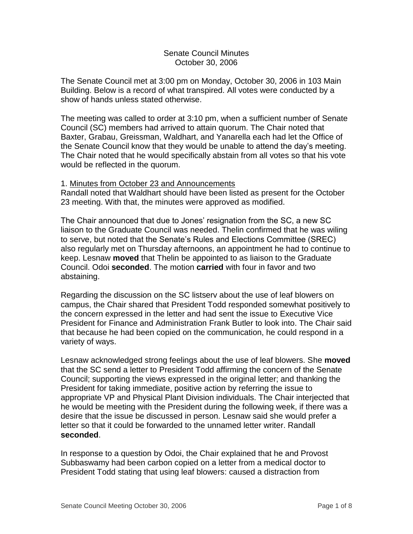### Senate Council Minutes October 30, 2006

The Senate Council met at 3:00 pm on Monday, October 30, 2006 in 103 Main Building. Below is a record of what transpired. All votes were conducted by a show of hands unless stated otherwise.

The meeting was called to order at 3:10 pm, when a sufficient number of Senate Council (SC) members had arrived to attain quorum. The Chair noted that Baxter, Grabau, Greissman, Waldhart, and Yanarella each had let the Office of the Senate Council know that they would be unable to attend the day's meeting. The Chair noted that he would specifically abstain from all votes so that his vote would be reflected in the quorum.

### 1. Minutes from October 23 and Announcements

Randall noted that Waldhart should have been listed as present for the October 23 meeting. With that, the minutes were approved as modified.

The Chair announced that due to Jones' resignation from the SC, a new SC liaison to the Graduate Council was needed. Thelin confirmed that he was wiling to serve, but noted that the Senate's Rules and Elections Committee (SREC) also regularly met on Thursday afternoons, an appointment he had to continue to keep. Lesnaw **moved** that Thelin be appointed to as liaison to the Graduate Council. Odoi **seconded**. The motion **carried** with four in favor and two abstaining.

Regarding the discussion on the SC listserv about the use of leaf blowers on campus, the Chair shared that President Todd responded somewhat positively to the concern expressed in the letter and had sent the issue to Executive Vice President for Finance and Administration Frank Butler to look into. The Chair said that because he had been copied on the communication, he could respond in a variety of ways.

Lesnaw acknowledged strong feelings about the use of leaf blowers. She **moved** that the SC send a letter to President Todd affirming the concern of the Senate Council; supporting the views expressed in the original letter; and thanking the President for taking immediate, positive action by referring the issue to appropriate VP and Physical Plant Division individuals. The Chair interjected that he would be meeting with the President during the following week, if there was a desire that the issue be discussed in person. Lesnaw said she would prefer a letter so that it could be forwarded to the unnamed letter writer. Randall **seconded**.

In response to a question by Odoi, the Chair explained that he and Provost Subbaswamy had been carbon copied on a letter from a medical doctor to President Todd stating that using leaf blowers: caused a distraction from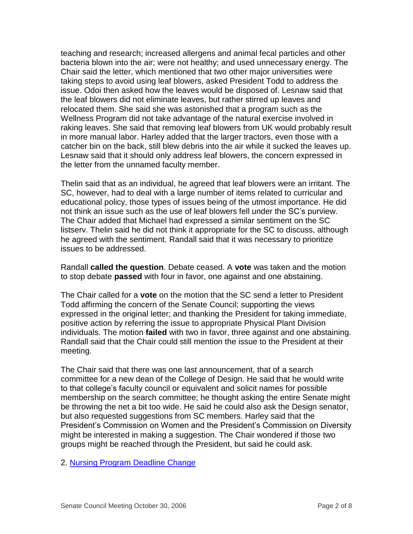teaching and research; increased allergens and animal fecal particles and other bacteria blown into the air; were not healthy; and used unnecessary energy. The Chair said the letter, which mentioned that two other major universities were taking steps to avoid using leaf blowers, asked President Todd to address the issue. Odoi then asked how the leaves would be disposed of. Lesnaw said that the leaf blowers did not eliminate leaves, but rather stirred up leaves and relocated them. She said she was astonished that a program such as the Wellness Program did not take advantage of the natural exercise involved in raking leaves. She said that removing leaf blowers from UK would probably result in more manual labor. Harley added that the larger tractors, even those with a catcher bin on the back, still blew debris into the air while it sucked the leaves up. Lesnaw said that it should only address leaf blowers, the concern expressed in the letter from the unnamed faculty member.

Thelin said that as an individual, he agreed that leaf blowers were an irritant. The SC, however, had to deal with a large number of items related to curricular and educational policy, those types of issues being of the utmost importance. He did not think an issue such as the use of leaf blowers fell under the SC's purview. The Chair added that Michael had expressed a similar sentiment on the SC listserv. Thelin said he did not think it appropriate for the SC to discuss, although he agreed with the sentiment. Randall said that it was necessary to prioritize issues to be addressed.

Randall **called the question**. Debate ceased. A **vote** was taken and the motion to stop debate **passed** with four in favor, one against and one abstaining.

The Chair called for a **vote** on the motion that the SC send a letter to President Todd affirming the concern of the Senate Council; supporting the views expressed in the original letter; and thanking the President for taking immediate, positive action by referring the issue to appropriate Physical Plant Division individuals. The motion **failed** with two in favor, three against and one abstaining. Randall said that the Chair could still mention the issue to the President at their meeting.

The Chair said that there was one last announcement, that of a search committee for a new dean of the College of Design. He said that he would write to that college's faculty council or equivalent and solicit names for possible membership on the search committee; he thought asking the entire Senate might be throwing the net a bit too wide. He said he could also ask the Design senator, but also requested suggestions from SC members. Harley said that the President's Commission on Women and the President's Commission on Diversity might be interested in making a suggestion. The Chair wondered if those two groups might be reached through the President, but said he could ask.

2. [Nursing Program Deadline Change](http://www.uky.edu/USC/New/files/20061030/CON_Deadline_change.pdf)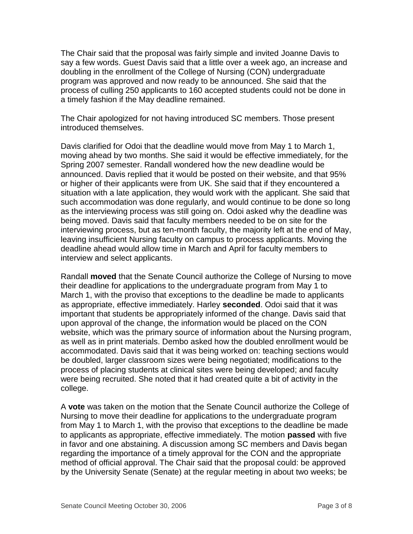The Chair said that the proposal was fairly simple and invited Joanne Davis to say a few words. Guest Davis said that a little over a week ago, an increase and doubling in the enrollment of the College of Nursing (CON) undergraduate program was approved and now ready to be announced. She said that the process of culling 250 applicants to 160 accepted students could not be done in a timely fashion if the May deadline remained.

The Chair apologized for not having introduced SC members. Those present introduced themselves.

Davis clarified for Odoi that the deadline would move from May 1 to March 1, moving ahead by two months. She said it would be effective immediately, for the Spring 2007 semester. Randall wondered how the new deadline would be announced. Davis replied that it would be posted on their website, and that 95% or higher of their applicants were from UK. She said that if they encountered a situation with a late application, they would work with the applicant. She said that such accommodation was done regularly, and would continue to be done so long as the interviewing process was still going on. Odoi asked why the deadline was being moved. Davis said that faculty members needed to be on site for the interviewing process, but as ten-month faculty, the majority left at the end of May, leaving insufficient Nursing faculty on campus to process applicants. Moving the deadline ahead would allow time in March and April for faculty members to interview and select applicants.

Randall **moved** that the Senate Council authorize the College of Nursing to move their deadline for applications to the undergraduate program from May 1 to March 1, with the proviso that exceptions to the deadline be made to applicants as appropriate, effective immediately. Harley **seconded**. Odoi said that it was important that students be appropriately informed of the change. Davis said that upon approval of the change, the information would be placed on the CON website, which was the primary source of information about the Nursing program, as well as in print materials. Dembo asked how the doubled enrollment would be accommodated. Davis said that it was being worked on: teaching sections would be doubled, larger classroom sizes were being negotiated; modifications to the process of placing students at clinical sites were being developed; and faculty were being recruited. She noted that it had created quite a bit of activity in the college.

A **vote** was taken on the motion that the Senate Council authorize the College of Nursing to move their deadline for applications to the undergraduate program from May 1 to March 1, with the proviso that exceptions to the deadline be made to applicants as appropriate, effective immediately. The motion **passed** with five in favor and one abstaining. A discussion among SC members and Davis began regarding the importance of a timely approval for the CON and the appropriate method of official approval. The Chair said that the proposal could: be approved by the University Senate (Senate) at the regular meeting in about two weeks; be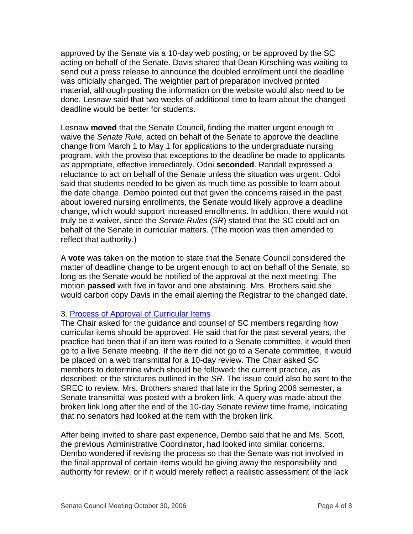approved by the Senate via a 10-day web posting; or be approved by the SC acting on behalf of the Senate. Davis shared that Dean Kirschling was waiting to send out a press release to announce the doubled enrollment until the deadline was officially changed. The weightier part of preparation involved printed material, although posting the information on the website would also need to be done. Lesnaw said that two weeks of additional time to learn about the changed deadline would be better for students.

Lesnaw **moved** that the Senate Council, finding the matter urgent enough to waive the *Senate Rule*, acted on behalf of the Senate to approve the deadline change from March 1 to May 1 for applications to the undergraduate nursing program, with the proviso that exceptions to the deadline be made to applicants as appropriate, effective immediately. Odoi **seconded**. Randall expressed a reluctance to act on behalf of the Senate unless the situation was urgent. Odoi said that students needed to be given as much time as possible to learn about the date change. Dembo pointed out that given the concerns raised in the past about lowered nursing enrollments, the Senate would likely approve a deadline change, which would support increased enrollments. In addition, there would not truly be a waiver, since the *Senate Rules* (*SR*) stated that the SC could act on behalf of the Senate in curricular matters. (The motion was then amended to reflect that authority.)

A **vote** was taken on the motion to state that the Senate Council considered the matter of deadline change to be urgent enough to act on behalf of the Senate, so long as the Senate would be notified of the approval at the next meeting. The motion **passed** with five in favor and one abstaining. Mrs. Brothers said she would carbon copy Davis in the email alerting the Registrar to the changed date.

# 3. [Process of Approval of Curricular Items](http://www.uky.edu/USC/New/files/20061030/3-2-0-.pdf)

The Chair asked for the guidance and counsel of SC members regarding how curricular items should be approved. He said that for the past several years, the practice had been that if an item was routed to a Senate committee, it would then go to a live Senate meeting. If the item did not go to a Senate committee, it would be placed on a web transmittal for a 10-day review. The Chair asked SC members to determine which should be followed: the current practice, as described; or the strictures outlined in the *SR*. The issue could also be sent to the SREC to review. Mrs. Brothers shared that late in the Spring 2006 semester, a Senate transmittal was posted with a broken link. A query was made about the broken link long after the end of the 10-day Senate review time frame, indicating that no senators had looked at the item with the broken link.

After being invited to share past experience, Dembo said that he and Ms. Scott, the previous Administrative Coordinator, had looked into similar concerns. Dembo wondered if revising the process so that the Senate was not involved in the final approval of certain items would be giving away the responsibility and authority for review, or if it would merely reflect a realistic assessment of the lack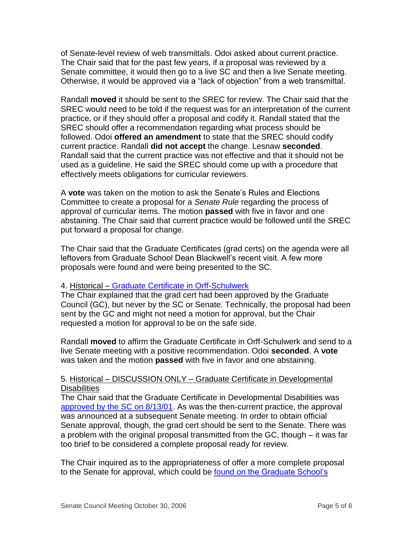of Senate-level review of web transmittals. Odoi asked about current practice. The Chair said that for the past few years, if a proposal was reviewed by a Senate committee, it would then go to a live SC and then a live Senate meeting. Otherwise, it would be approved via a "lack of objection" from a web transmittal.

Randall **moved** it should be sent to the SREC for review. The Chair said that the SREC would need to be told if the request was for an interpretation of the current practice, or if they should offer a proposal and codify it. Randall stated that the SREC should offer a recommendation regarding what process should be followed. Odoi **offered an amendment** to state that the SREC should codify current practice. Randall **did not accept** the change. Lesnaw **seconded**. Randall said that the current practice was not effective and that it should not be used as a guideline. He said the SREC should come up with a procedure that effectively meets obligations for curricular reviewers.

A **vote** was taken on the motion to ask the Senate's Rules and Elections Committee to create a proposal for a *Senate Rule* regarding the process of approval of curricular items. The motion **passed** with five in favor and one abstaining. The Chair said that current practice would be followed until the SREC put forward a proposal for change.

The Chair said that the Graduate Certificates (grad certs) on the agenda were all leftovers from Graduate School Dean Blackwell's recent visit. A few more proposals were found and were being presented to the SC.

# 4. Historical – [Graduate Certificate in Orff-Schulwerk](http://www.uky.edu/USC/New/files/20061030/Orff%20Schulwerk.pdf)

The Chair explained that the grad cert had been approved by the Graduate Council (GC), but never by the SC or Senate. Technically, the proposal had been sent by the GC and might not need a motion for approval, but the Chair requested a motion for approval to be on the safe side.

Randall **moved** to affirm the Graduate Certificate in Orff-Schulwerk and send to a live Senate meeting with a positive recommendation. Odoi **seconded**. A **vote** was taken and the motion **passed** with five in favor and one abstaining.

# 5. Historical – DISCUSSION ONLY – Graduate Certificate in Developmental **Disabilities**

The Chair said that the Graduate Certificate in Developmental Disabilities was [approved by the SC on 8/13/01.](http://www.uky.edu/USC/New/files/20061030/Developmental%20Disabilities.pdf) As was the then-current practice, the approval was announced at a subsequent Senate meeting. In order to obtain official Senate approval, though, the grad cert should be sent to the Senate. There was a problem with the original proposal transmitted from the GC, though – it was far too brief to be considered a complete proposal ready for review.

The Chair inquired as to the appropriateness of offer a more complete proposal to the Senate for approval, which could be found [on the Graduate School's](http://www.uky.edu/USC/New/files/20061030/Grad%20Cert%20Dev%20Disb_GS_Complete.pdf)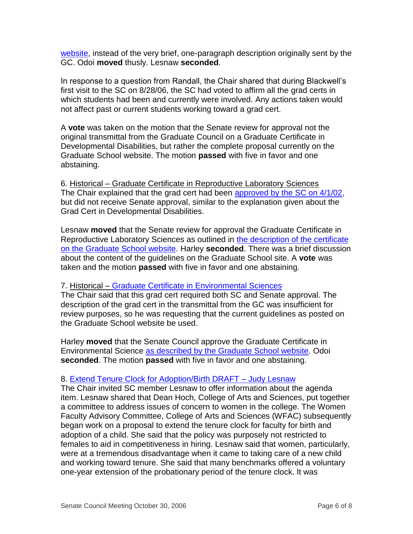website, instead of the very brief, one-paragraph description originally sent by the GC. Odoi **moved** thusly. Lesnaw **seconded**.

In response to a question from Randall, the Chair shared that during Blackwell's first visit to the SC on 8/28/06, the SC had voted to affirm all the grad certs in which students had been and currently were involved. Any actions taken would not affect past or current students working toward a grad cert.

A **vote** was taken on the motion that the Senate review for approval not the original transmittal from the Graduate Council on a Graduate Certificate in Developmental Disabilities, but rather the complete proposal currently on the Graduate School website. The motion **passed** with five in favor and one abstaining.

6. Historical – Graduate Certificate in Reproductive Laboratory Sciences The Chair explained that the grad cert had been [approved by the SC on 4/1/02,](http://www.uky.edu/USC/New/files/20061030/Grad%20Cert%20RLS%20from%20web.pdf) but did not receive Senate approval, similar to the explanation given about the Grad Cert in Developmental Disabilities.

Lesnaw **moved** that the Senate review for approval the Graduate Certificate in Reproductive Laboratory Sciences as outlined in [the description of the certificate](http://www.uky.edu/USC/New/files/20061030/Grad%20Cert%20RLS_GS_Complete.pdf)  [on the Graduate School website.](http://www.uky.edu/USC/New/files/20061030/Grad%20Cert%20RLS_GS_Complete.pdf) Harley **seconded**. There was a brief discussion about the content of the guidelines on the Graduate School site. A **vote** was taken and the motion **passed** with five in favor and one abstaining.

### 7. Historical – [Graduate Certificate in Environmental Sciences](http://www.uky.edu/USC/New/files/20061030/Environmental%20Systems.pdf)

The Chair said that this grad cert required both SC and Senate approval. The description of the grad cert in the transmittal from the GC was insufficient for review purposes, so he was requesting that the current guidelines as posted on the Graduate School website be used.

Harley **moved** that the Senate Council approve the Graduate Certificate in Environmental Science [as described by the Graduate School website.](http://www.uky.edu/USC/New/files/20061030/Grad%20Cert%20Enviro%20Sys_GS_Complete.pdf) Odoi **seconded**. The motion **passed** with five in favor and one abstaining.

# 8. [Extend Tenure Clock for Adoption/Birth DRAFT –](http://www.uky.edu/USC/New/files/20061030/Tenure%20Clock_Complete.pdf) Judy Lesnaw

The Chair invited SC member Lesnaw to offer information about the agenda item. Lesnaw shared that Dean Hoch, College of Arts and Sciences, put together a committee to address issues of concern to women in the college. The Women Faculty Advisory Committee, College of Arts and Sciences (WFAC) subsequently began work on a proposal to extend the tenure clock for faculty for birth and adoption of a child. She said that the policy was purposely not restricted to females to aid in competitiveness in hiring. Lesnaw said that women, particularly, were at a tremendous disadvantage when it came to taking care of a new child and working toward tenure. She said that many benchmarks offered a voluntary one-year extension of the probationary period of the tenure clock. It was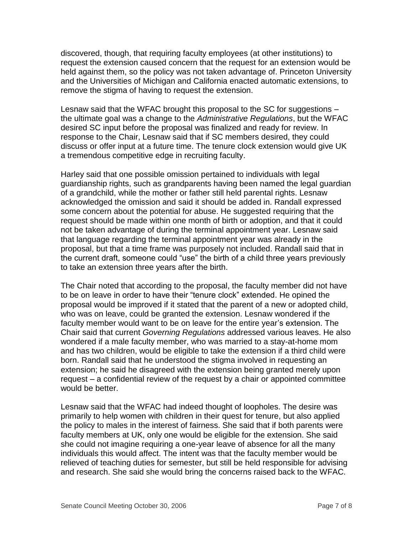discovered, though, that requiring faculty employees (at other institutions) to request the extension caused concern that the request for an extension would be held against them, so the policy was not taken advantage of. Princeton University and the Universities of Michigan and California enacted automatic extensions, to remove the stigma of having to request the extension.

Lesnaw said that the WFAC brought this proposal to the SC for suggestions – the ultimate goal was a change to the *Administrative Regulations*, but the WFAC desired SC input before the proposal was finalized and ready for review. In response to the Chair, Lesnaw said that if SC members desired, they could discuss or offer input at a future time. The tenure clock extension would give UK a tremendous competitive edge in recruiting faculty.

Harley said that one possible omission pertained to individuals with legal guardianship rights, such as grandparents having been named the legal guardian of a grandchild, while the mother or father still held parental rights. Lesnaw acknowledged the omission and said it should be added in. Randall expressed some concern about the potential for abuse. He suggested requiring that the request should be made within one month of birth or adoption, and that it could not be taken advantage of during the terminal appointment year. Lesnaw said that language regarding the terminal appointment year was already in the proposal, but that a time frame was purposely not included. Randall said that in the current draft, someone could "use" the birth of a child three years previously to take an extension three years after the birth.

The Chair noted that according to the proposal, the faculty member did not have to be on leave in order to have their "tenure clock" extended. He opined the proposal would be improved if it stated that the parent of a new or adopted child, who was on leave, could be granted the extension. Lesnaw wondered if the faculty member would want to be on leave for the entire year's extension. The Chair said that current *Governing Regulations* addressed various leaves. He also wondered if a male faculty member, who was married to a stay-at-home mom and has two children, would be eligible to take the extension if a third child were born. Randall said that he understood the stigma involved in requesting an extension; he said he disagreed with the extension being granted merely upon request – a confidential review of the request by a chair or appointed committee would be better.

Lesnaw said that the WFAC had indeed thought of loopholes. The desire was primarily to help women with children in their quest for tenure, but also applied the policy to males in the interest of fairness. She said that if both parents were faculty members at UK, only one would be eligible for the extension. She said she could not imagine requiring a one-year leave of absence for all the many individuals this would affect. The intent was that the faculty member would be relieved of teaching duties for semester, but still be held responsible for advising and research. She said she would bring the concerns raised back to the WFAC.